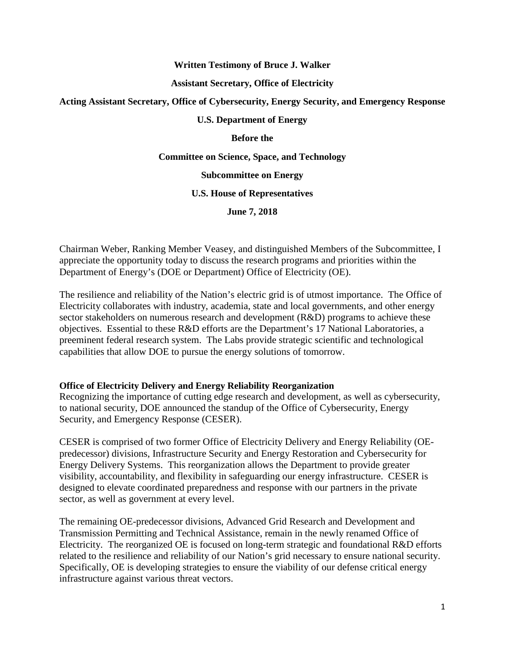### **Written Testimony of Bruce J. Walker**

#### **Assistant Secretary, Office of Electricity**

## **Acting Assistant Secretary, Office of Cybersecurity, Energy Security, and Emergency Response**

## **U.S. Department of Energy**

**Before the**

#### **Committee on Science, Space, and Technology**

### **Subcommittee on Energy**

#### **U.S. House of Representatives**

**June 7, 2018**

Chairman Weber, Ranking Member Veasey, and distinguished Members of the Subcommittee, I appreciate the opportunity today to discuss the research programs and priorities within the Department of Energy's (DOE or Department) Office of Electricity (OE).

The resilience and reliability of the Nation's electric grid is of utmost importance. The Office of Electricity collaborates with industry, academia, state and local governments, and other energy sector stakeholders on numerous research and development (R&D) programs to achieve these objectives. Essential to these R&D efforts are the Department's 17 National Laboratories, a preeminent federal research system. The Labs provide strategic scientific and technological capabilities that allow DOE to pursue the energy solutions of tomorrow.

### **Office of Electricity Delivery and Energy Reliability Reorganization**

Recognizing the importance of cutting edge research and development, as well as cybersecurity, to national security, DOE announced the standup of the Office of Cybersecurity, Energy Security, and Emergency Response (CESER).

CESER is comprised of two former Office of Electricity Delivery and Energy Reliability (OEpredecessor) divisions, Infrastructure Security and Energy Restoration and Cybersecurity for Energy Delivery Systems. This reorganization allows the Department to provide greater visibility, accountability, and flexibility in safeguarding our energy infrastructure. CESER is designed to elevate coordinated preparedness and response with our partners in the private sector, as well as government at every level.

The remaining OE-predecessor divisions, Advanced Grid Research and Development and Transmission Permitting and Technical Assistance, remain in the newly renamed Office of Electricity. The reorganized OE is focused on long-term strategic and foundational R&D efforts related to the resilience and reliability of our Nation's grid necessary to ensure national security. Specifically, OE is developing strategies to ensure the viability of our defense critical energy infrastructure against various threat vectors.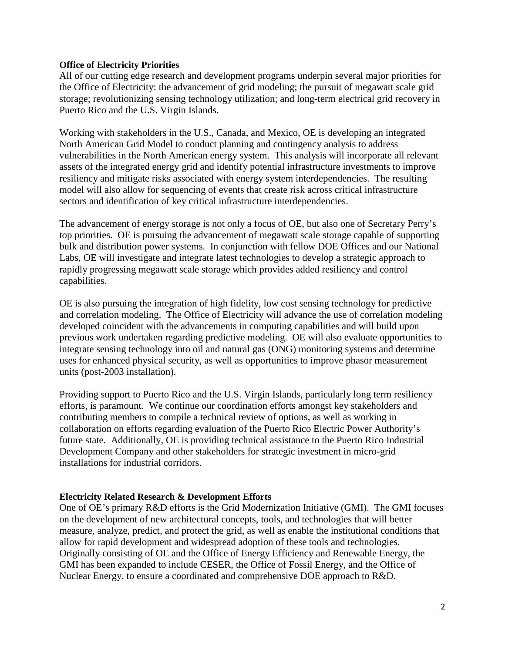## **Office of Electricity Priorities**

All of our cutting edge research and development programs underpin several major priorities for the Office of Electricity: the advancement of grid modeling; the pursuit of megawatt scale grid storage; revolutionizing sensing technology utilization; and long-term electrical grid recovery in Puerto Rico and the U.S. Virgin Islands.

Working with stakeholders in the U.S., Canada, and Mexico, OE is developing an integrated North American Grid Model to conduct planning and contingency analysis to address vulnerabilities in the North American energy system. This analysis will incorporate all relevant assets of the integrated energy grid and identify potential infrastructure investments to improve resiliency and mitigate risks associated with energy system interdependencies. The resulting model will also allow for sequencing of events that create risk across critical infrastructure sectors and identification of key critical infrastructure interdependencies.

The advancement of energy storage is not only a focus of OE, but also one of Secretary Perry's top priorities. OE is pursuing the advancement of megawatt scale storage capable of supporting bulk and distribution power systems. In conjunction with fellow DOE Offices and our National Labs, OE will investigate and integrate latest technologies to develop a strategic approach to rapidly progressing megawatt scale storage which provides added resiliency and control capabilities.

OE is also pursuing the integration of high fidelity, low cost sensing technology for predictive and correlation modeling. The Office of Electricity will advance the use of correlation modeling developed coincident with the advancements in computing capabilities and will build upon previous work undertaken regarding predictive modeling. OE will also evaluate opportunities to integrate sensing technology into oil and natural gas (ONG) monitoring systems and determine uses for enhanced physical security, as well as opportunities to improve phasor measurement units (post-2003 installation).

Providing support to Puerto Rico and the U.S. Virgin Islands, particularly long term resiliency efforts, is paramount. We continue our coordination efforts amongst key stakeholders and contributing members to compile a technical review of options, as well as working in collaboration on efforts regarding evaluation of the Puerto Rico Electric Power Authority's future state. Additionally, OE is providing technical assistance to the Puerto Rico Industrial Development Company and other stakeholders for strategic investment in micro-grid installations for industrial corridors.

# **Electricity Related Research & Development Efforts**

One of OE's primary R&D efforts is the Grid Modernization Initiative (GMI). The GMI focuses on the development of new architectural concepts, tools, and technologies that will better measure, analyze, predict, and protect the grid, as well as enable the institutional conditions that allow for rapid development and widespread adoption of these tools and technologies. Originally consisting of OE and the Office of Energy Efficiency and Renewable Energy, the GMI has been expanded to include CESER, the Office of Fossil Energy, and the Office of Nuclear Energy, to ensure a coordinated and comprehensive DOE approach to R&D.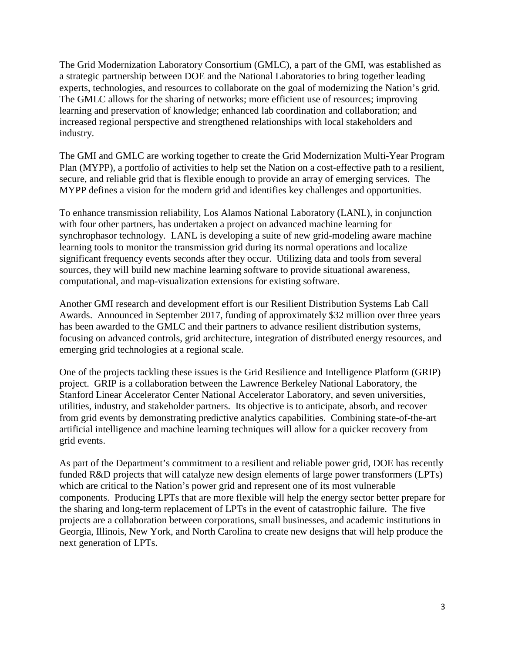The Grid Modernization Laboratory Consortium (GMLC), a part of the GMI, was established as a strategic partnership between DOE and the National Laboratories to bring together leading experts, technologies, and resources to collaborate on the goal of modernizing the Nation's grid. The GMLC allows for the sharing of networks; more efficient use of resources; improving learning and preservation of knowledge; enhanced lab coordination and collaboration; and increased regional perspective and strengthened relationships with local stakeholders and industry.

The GMI and GMLC are working together to create the Grid Modernization Multi-Year Program Plan (MYPP), a portfolio of activities to help set the Nation on a cost-effective path to a resilient, secure, and reliable grid that is flexible enough to provide an array of emerging services. The MYPP defines a vision for the modern grid and identifies key challenges and opportunities.

To enhance transmission reliability, Los Alamos National Laboratory (LANL), in conjunction with four other partners, has undertaken a project on advanced machine learning for synchrophasor technology. LANL is developing a suite of new grid-modeling aware machine learning tools to monitor the transmission grid during its normal operations and localize significant frequency events seconds after they occur. Utilizing data and tools from several sources, they will build new machine learning software to provide situational awareness, computational, and map-visualization extensions for existing software.

Another GMI research and development effort is our Resilient Distribution Systems Lab Call Awards. Announced in September 2017, funding of approximately \$32 million over three years has been awarded to the GMLC and their partners to advance resilient distribution systems, focusing on advanced controls, grid architecture, integration of distributed energy resources, and emerging grid technologies at a regional scale.

One of the projects tackling these issues is the Grid Resilience and Intelligence Platform (GRIP) project. GRIP is a collaboration between the Lawrence Berkeley National Laboratory, the Stanford Linear Accelerator Center National Accelerator Laboratory, and seven universities, utilities, industry, and stakeholder partners. Its objective is to anticipate, absorb, and recover from grid events by demonstrating predictive analytics capabilities. Combining state-of-the-art artificial intelligence and machine learning techniques will allow for a quicker recovery from grid events.

As part of the Department's commitment to a resilient and reliable power grid, DOE has recently funded R&D projects that will catalyze new design elements of large power transformers (LPTs) which are critical to the Nation's power grid and represent one of its most vulnerable components. Producing LPTs that are more flexible will help the energy sector better prepare for the sharing and long-term replacement of LPTs in the event of catastrophic failure. The five projects are a collaboration between corporations, small businesses, and academic institutions in Georgia, Illinois, New York, and North Carolina to create new designs that will help produce the next generation of LPTs.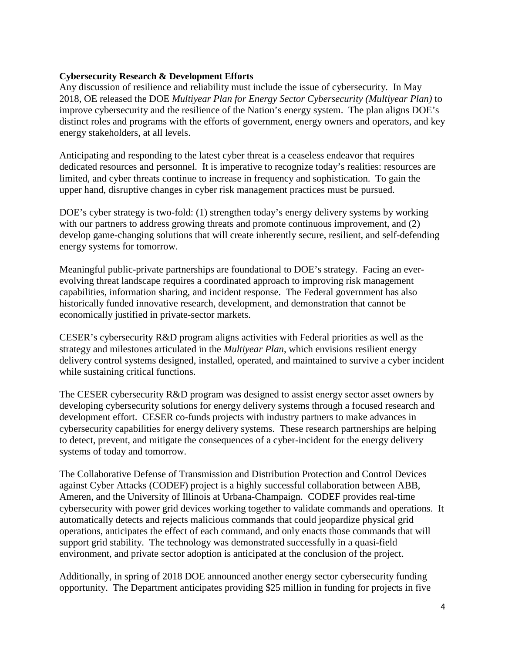# **Cybersecurity Research & Development Efforts**

Any discussion of resilience and reliability must include the issue of cybersecurity. In May 2018, OE released the DOE *Multiyear Plan for Energy Sector Cybersecurity (Multiyear Plan)* to improve cybersecurity and the resilience of the Nation's energy system. The plan aligns DOE's distinct roles and programs with the efforts of government, energy owners and operators, and key energy stakeholders, at all levels.

Anticipating and responding to the latest cyber threat is a ceaseless endeavor that requires dedicated resources and personnel. It is imperative to recognize today's realities: resources are limited, and cyber threats continue to increase in frequency and sophistication. To gain the upper hand, disruptive changes in cyber risk management practices must be pursued.

DOE's cyber strategy is two-fold: (1) strengthen today's energy delivery systems by working with our partners to address growing threats and promote continuous improvement, and (2) develop game-changing solutions that will create inherently secure, resilient, and self-defending energy systems for tomorrow.

Meaningful public-private partnerships are foundational to DOE's strategy. Facing an everevolving threat landscape requires a coordinated approach to improving risk management capabilities, information sharing, and incident response. The Federal government has also historically funded innovative research, development, and demonstration that cannot be economically justified in private-sector markets.

CESER's cybersecurity R&D program aligns activities with Federal priorities as well as the strategy and milestones articulated in the *Multiyear Plan*, which envisions resilient energy delivery control systems designed, installed, operated, and maintained to survive a cyber incident while sustaining critical functions.

The CESER cybersecurity R&D program was designed to assist energy sector asset owners by developing cybersecurity solutions for energy delivery systems through a focused research and development effort. CESER co-funds projects with industry partners to make advances in cybersecurity capabilities for energy delivery systems. These research partnerships are helping to detect, prevent, and mitigate the consequences of a cyber-incident for the energy delivery systems of today and tomorrow.

The Collaborative Defense of Transmission and Distribution Protection and Control Devices against Cyber Attacks (CODEF) project is a highly successful collaboration between ABB, Ameren, and the University of Illinois at Urbana-Champaign. CODEF provides real-time cybersecurity with power grid devices working together to validate commands and operations. It automatically detects and rejects malicious commands that could jeopardize physical grid operations, anticipates the effect of each command, and only enacts those commands that will support grid stability. The technology was demonstrated successfully in a quasi-field environment, and private sector adoption is anticipated at the conclusion of the project.

Additionally, in spring of 2018 DOE announced another energy sector cybersecurity funding opportunity. The Department anticipates providing \$25 million in funding for projects in five